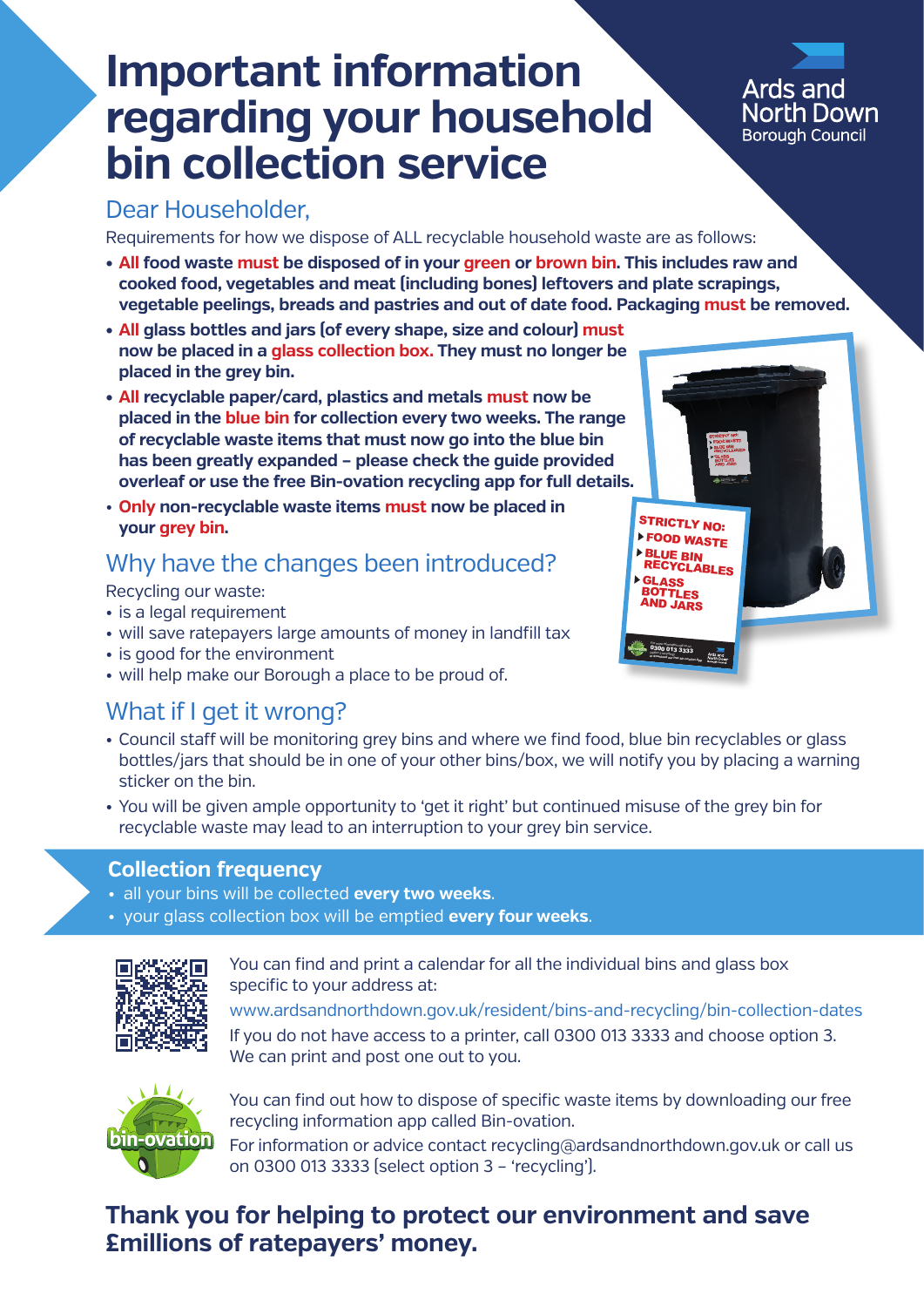# **Important information regarding your household bin collection service**

### **Ards and** North Down **Borough Council**

### Dear Householder,

Requirements for how we dispose of ALL recyclable household waste are as follows:

- **• All food waste must be disposed of in your green or brown bin. This includes raw and cooked food, vegetables and meat (including bones) leftovers and plate scrapings, vegetable peelings, breads and pastries and out of date food. Packaging must be removed.**
- **• All glass bottles and jars (of every shape, size and colour) must now be placed in a glass collection box. They must no longer be placed in the grey bin.**
- **All recyclable paper/card, plastics and metals must now be placed in the blue bin for collection every two weeks. The range of recyclable waste items that must now go into the blue bin has been greatly expanded – please check the guide provided overleaf or use the free Bin-ovation recycling app for full details.**
- **Only non-recyclable waste items must now be placed in your grey bin.**

## Why have the changes been introduced?

Recycling our waste:

- is a legal requirement
- will save ratepayers large amounts of money in landfill tax
- is good for the environment
- will help make our Borough a place to be proud of.

### What if I get it wrong?

- Council staff will be monitoring grey bins and where we find food, blue bin recyclables or glass bottles/jars that should be in one of your other bins/box, we will notify you by placing a warning sticker on the bin.
- You will be given ample opportunity to 'get it right' but continued misuse of the grey bin for recyclable waste may lead to an interruption to your grey bin service.

### **Collection frequency**

- all your bins will be collected **every two weeks**.
- your glass collection box will be emptied **every four weeks**.



You can find and print a calendar for all the individual bins and glass box specific to your address at:

www.ardsandnorthdown.gov.uk/resident/bins-and-recycling/bin-collection-dates If you do not have access to a printer, call 0300 013 3333 and choose option 3. We can print and post one out to you.



You can find out how to dispose of specific waste items by downloading our free recycling information app called Bin-ovation.

For information or advice contact recycling@ardsandnorthdown.gov.uk or call us on 0300 013 3333 (select option 3 – 'recycling').

### **Thank you for helping to protect our environment and save £millions of ratepayers' money.**